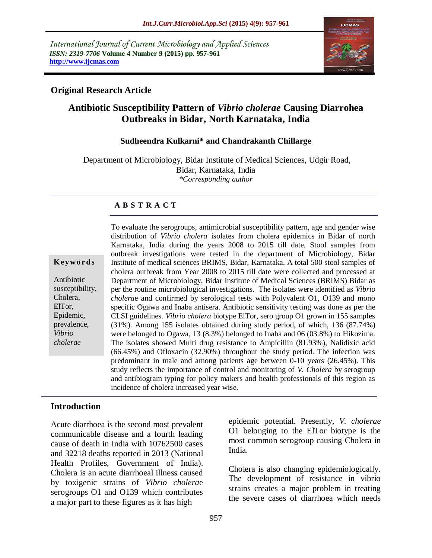*International Journal of Current Microbiology and Applied Sciences ISSN: 2319-7706* **Volume 4 Number 9 (2015) pp. 957-961 http://www.ijcmas.com** 



## **Original Research Article**

# **Antibiotic Susceptibility Pattern of** *Vibrio cholerae* **Causing Diarrohea Outbreaks in Bidar, North Karnataka, India**

#### **Sudheendra Kulkarni\* and Chandrakanth Chillarge**

Department of Microbiology, Bidar Institute of Medical Sciences, Udgir Road, Bidar, Karnataka, India *\*Corresponding author*

#### **A B S T R A C T**

| Keywords |  |  |  |  |  |  |
|----------|--|--|--|--|--|--|
|----------|--|--|--|--|--|--|

Antibiotic susceptibility, Cholera, ElTor, Epidemic, prevalence, *Vibrio cholerae*

To evaluate the serogroups, antimicrobial susceptibility pattern, age and gender wise distribution of *Vibrio cholera* isolates from cholera epidemics in Bidar of north Karnataka, India during the years 2008 to 2015 till date. Stool samples from outbreak investigations were tested in the department of Microbiology, Bidar Institute of medical sciences BRIMS, Bidar, Karnataka. A total 500 stool samples of cholera outbreak from Year 2008 to 2015 till date were collected and processed at Department of Microbiology, Bidar Institute of Medical Sciences (BRIMS) Bidar as per the routine microbiological investigations. The isolates were identified as *Vibrio cholera*e and confirmed by serological tests with Polyvalent O1, O139 and mono specific Ogawa and Inaba antisera. Antibiotic sensitivity testing was done as per the CLSI guidelines. *Vibrio cholera* biotype ElTor, sero group O1 grown in 155 samples (31%). Among 155 isolates obtained during study period, of which, 136 (87.74%) were belonged to Ogawa, 13 (8.3%) belonged to Inaba and 06 (03.8%) to Hikozima. The isolates showed Multi drug resistance to Ampicillin (81.93%), Nalidixic acid (66.45%) and Ofloxacin (32.90%) throughout the study period. The infection was predominant in male and among patients age between 0-10 years (26.45%). This study reflects the importance of control and monitoring of *V. Cholera* by serogroup and antibiogram typing for policy makers and health professionals of this region as incidence of cholera increased year wise.

#### **Introduction**

Acute diarrhoea is the second most prevalent communicable disease and a fourth leading cause of death in India with 10762500 cases and 32218 deaths reported in 2013 (National Health Profiles, Government of India). Cholera is an acute diarrhoeal illness caused by toxigenic strains of *Vibrio cholera*e serogroups O1 and O139 which contributes a major part to these figures as it has high

epidemic potential. Presently, *V. cholerae* O1 belonging to the ElTor biotype is the most common serogroup causing Cholera in India.

Cholera is also changing epidemiologically. The development of resistance in vibrio strains creates a major problem in treating the severe cases of diarrhoea which needs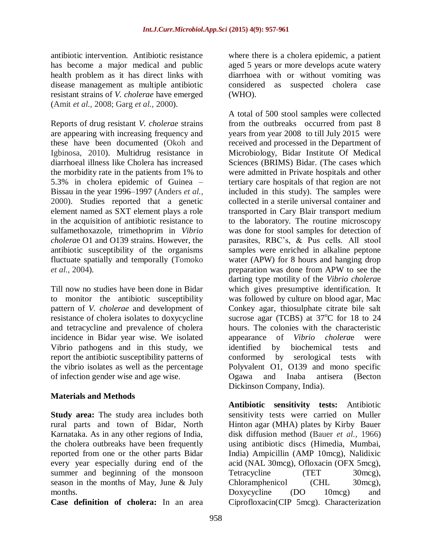antibiotic intervention. Antibiotic resistance has become a major medical and public health problem as it has direct links with disease management as multiple antibiotic resistant strains of *V. cholerae* have emerged (Amit *et al.,* 2008; Garg *et al.,* 2000).

Reports of drug resistant *V. cholerae* strains are appearing with increasing frequency and these have been documented (Okoh and Igbinosa, 2010). Multidrug resistance in diarrhoeal illness like Cholera has increased the morbidity rate in the patients from 1% to 5.3% in cholera epidemic of Guinea – Bissau in the year 1996–1997 (Anders *et al.,* 2000). Studies reported that a genetic element named as SXT element plays a role in the acquisition of antibiotic resistance to sulfamethoxazole, trimethoprim in *Vibrio cholera*e O1 and O139 strains. However, the antibiotic susceptibility of the organisms fluctuate spatially and temporally (Tomoko *et al.,* 2004).

Till now no studies have been done in Bidar to monitor the antibiotic susceptibility pattern of *V. cholerae* and development of resistance of cholera isolates to doxycycline and tetracycline and prevalence of cholera incidence in Bidar year wise. We isolated Vibrio pathogens and in this study, we report the antibiotic susceptibility patterns of the vibrio isolates as well as the percentage of infection gender wise and age wise.

# **Materials and Methods**

**Study area:** The study area includes both rural parts and town of Bidar, North Karnataka. As in any other regions of India, the cholera outbreaks have been frequently reported from one or the other parts Bidar every year especially during end of the summer and beginning of the monsoon season in the months of May, June & July months.

**Case definition of cholera:** In an area

where there is a cholera epidemic, a patient aged 5 years or more develops acute watery diarrhoea with or without vomiting was considered as suspected cholera case (WHO).

A total of 500 stool samples were collected from the outbreaks occurred from past 8 years from year 2008 to till July 2015 were received and processed in the Department of Microbiology, Bidar Institute Of Medical Sciences (BRIMS) Bidar. (The cases which were admitted in Private hospitals and other tertiary care hospitals of that region are not included in this study). The samples were collected in a sterile universal container and transported in Cary Blair transport medium to the laboratory. The routine microscopy was done for stool samples for detection of parasites, RBC's, & Pus cells. All stool samples were enriched in alkaline peptone water (APW) for 8 hours and hanging drop preparation was done from APW to see the darting type motility of the *Vibrio cholera*e which gives presumptive identification. It was followed by culture on blood agar, Mac Conkey agar, thiosulphate citrate bile salt sucrose agar (TCBS) at  $37^{\circ}$ C for 18 to 24 hours. The colonies with the characteristic appearance of *Vibrio cholera*e were identified by biochemical tests and conformed by serological tests with Polyvalent O1, O139 and mono specific Ogawa and Inaba antisera (Becton Dickinson Company, India).

**Antibiotic sensitivity tests:** Antibiotic sensitivity tests were carried on Muller Hinton agar (MHA) plates by Kirby Bauer disk diffusion method (Bauer *et al.,* 1966) using antibiotic discs (Himedia, Mumbai, India) Ampicillin (AMP 10mcg), Nalidixic acid (NAL 30mcg), Ofloxacin (OFX 5mcg), Tetracycline (TET 30mcg), Chloramphenicol (CHL 30mcg), Doxycycline (DO 10mcg) and Ciprofloxacin(CIP 5mcg). Characterization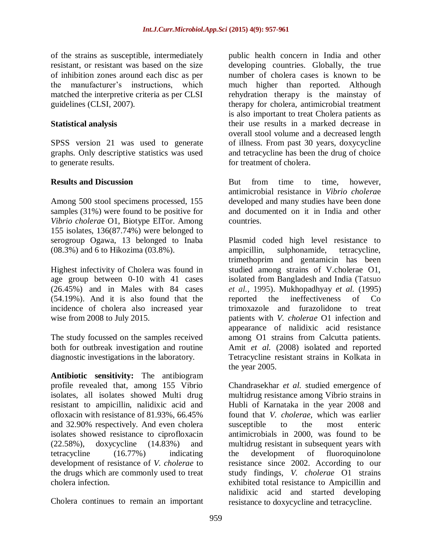of the strains as susceptible, intermediately resistant, or resistant was based on the size of inhibition zones around each disc as per the manufacturer's instructions, which matched the interpretive criteria as per CLSI guidelines (CLSI, 2007).

### **Statistical analysis**

SPSS version 21 was used to generate graphs. Only descriptive statistics was used to generate results.

## **Results and Discussion**

Among 500 stool specimens processed, 155 samples (31%) were found to be positive for *Vibrio cholera*e O1, Biotype ElTor. Among 155 isolates, 136(87.74%) were belonged to serogroup Ogawa, 13 belonged to Inaba (08.3%) and 6 to Hikozima (03.8%).

Highest infectivity of Cholera was found in age group between 0-10 with 41 cases (26.45%) and in Males with 84 cases (54.19%). And it is also found that the incidence of cholera also increased year wise from 2008 to July 2015.

The study focussed on the samples received both for outbreak investigation and routine diagnostic investigations in the laboratory.

**Antibiotic sensitivity:** The antibiogram profile revealed that, among 155 Vibrio isolates, all isolates showed Multi drug resistant to ampicillin, nalidixic acid and ofloxacin with resistance of 81.93%, 66.45% and 32.90% respectively. And even cholera isolates showed resistance to ciprofloxacin (22.58%), doxycycline (14.83%) and tetracycline (16.77%) indicating development of resistance of *V. cholerae* to the drugs which are commonly used to treat cholera infection.

Cholera continues to remain an important

public health concern in India and other developing countries. Globally, the true number of cholera cases is known to be much higher than reported. Although rehydration therapy is the mainstay of therapy for cholera, antimicrobial treatment is also important to treat Cholera patients as their use results in a marked decrease in overall stool volume and a decreased length of illness. From past 30 years, doxycycline and tetracycline has been the drug of choice for treatment of cholera.

But from time to time, however, antimicrobial resistance in *Vibrio cholera*e developed and many studies have been done and documented on it in India and other countries.

Plasmid coded high level resistance to ampicillin, sulphonamide, tetracycline, trimethoprim and gentamicin has been studied among strains of V.cholerae O1, isolated from Bangladesh and India (Tatsuo *et al.,* 1995). Mukhopadhyay *et al.* (1995) reported the ineffectiveness of Co trimoxazole and furazolidone to treat patients with *V. cholerae* O1 infection and appearance of nalidixic acid resistance among O1 strains from Calcutta patients. Amit *et al.* (2008) isolated and reported Tetracycline resistant strains in Kolkata in the year 2005.

Chandrasekhar *et al.* studied emergence of multidrug resistance among Vibrio strains in Hubli of Karnataka in the year 2008 and found that *V. cholerae*, which was earlier susceptible to the most enteric antimicrobials in 2000, was found to be multidrug resistant in subsequent years with the development of fluoroquinolone resistance since 2002. According to our study findings, *V. cholerae* O1 strains exhibited total resistance to Ampicillin and nalidixic acid and started developing resistance to doxycycline and tetracycline.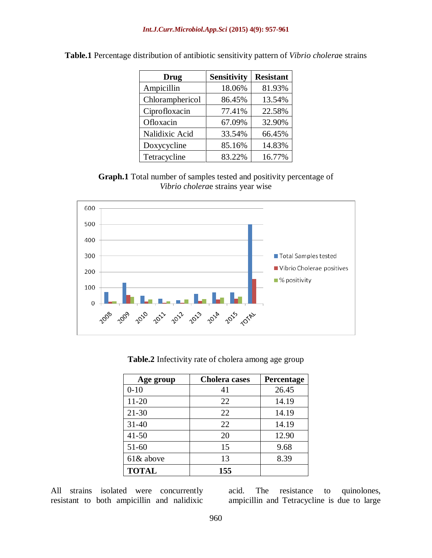| <b>Drug</b>     | <b>Sensitivity</b> | <b>Resistant</b> |
|-----------------|--------------------|------------------|
| Ampicillin      | 18.06%             | 81.93%           |
| Chloramphericol | 86.45%             | 13.54%           |
| Ciprofloxacin   | 77.41%             | 22.58%           |
| Ofloxacin       | 67.09%             | 32.90%           |
| Nalidixic Acid  | 33.54%             | 66.45%           |
| Doxycycline     | 85.16%             | 14.83%           |
| Tetracycline    | 83.22%             | 16.77%           |

**Table.1** Percentage distribution of antibiotic sensitivity pattern of *Vibrio cholera*e strains

**Graph.1** Total number of samples tested and positivity percentage of *Vibrio cholera*e strains year wise



**Table.2** Infectivity rate of cholera among age group

| Age group    | <b>Cholera</b> cases | Percentage |
|--------------|----------------------|------------|
| $0 - 10$     | 41                   | 26.45      |
| $11 - 20$    | 22                   | 14.19      |
| $21 - 30$    | 22                   | 14.19      |
| $31 - 40$    | 22                   | 14.19      |
| $41 - 50$    | 20                   | 12.90      |
| $51 - 60$    | 15                   | 9.68       |
| 61& above    | 13                   | 8.39       |
| <b>TOTAL</b> | 155                  |            |

All strains isolated were concurrently resistant to both ampicillin and nalidixic

acid. The resistance to quinolones, ampicillin and Tetracycline is due to large